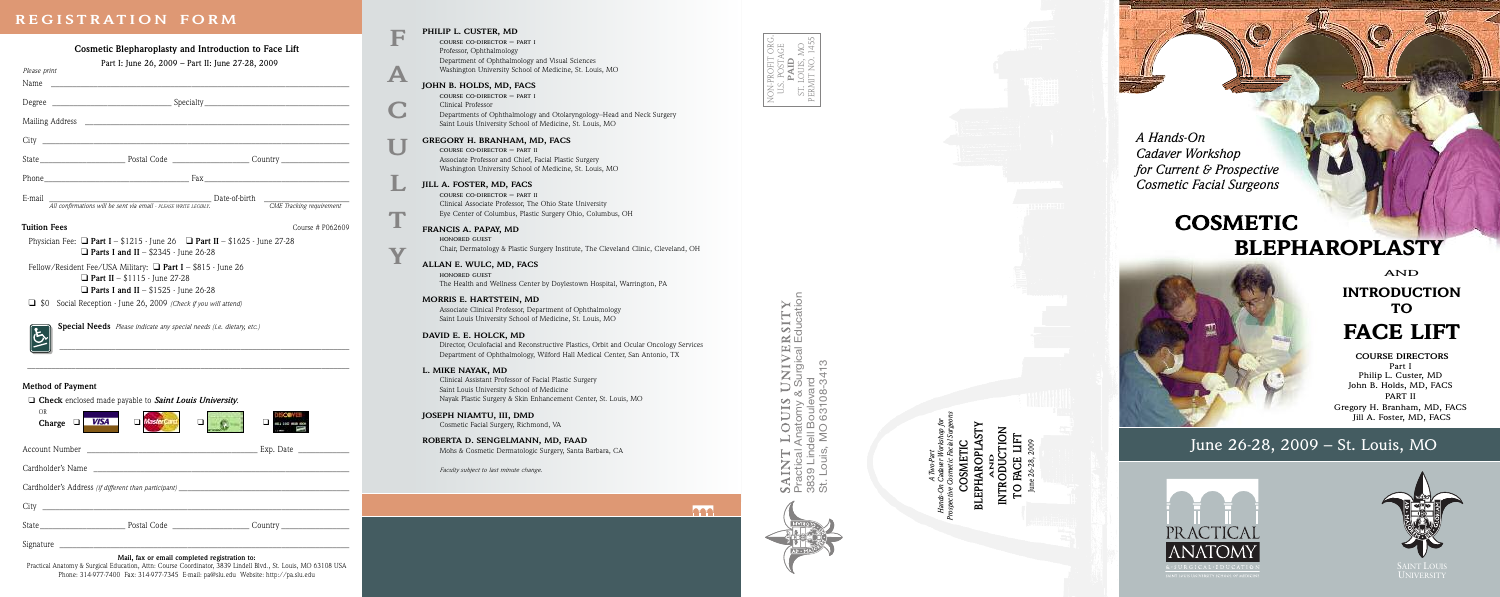## REGISTRATION FORM

|                                                                                                                                                                                                                                                                                                                                                                                                                                                                         | PHILIP L. CUSTER, MD                                                                                                              |
|-------------------------------------------------------------------------------------------------------------------------------------------------------------------------------------------------------------------------------------------------------------------------------------------------------------------------------------------------------------------------------------------------------------------------------------------------------------------------|-----------------------------------------------------------------------------------------------------------------------------------|
| Cosmetic Blepharoplasty and Introduction to Face Lift                                                                                                                                                                                                                                                                                                                                                                                                                   | COURSE CO-DIRECTOR - PART I<br>Professor, Ophthalmology                                                                           |
| Part I: June 26, 2009 - Part II: June 27-28, 2009                                                                                                                                                                                                                                                                                                                                                                                                                       | Department of Ophthalmology and Visual Sciences                                                                                   |
| Please print<br>A                                                                                                                                                                                                                                                                                                                                                                                                                                                       | Washington University School of Medicine, St. Louis, MO                                                                           |
| Name                                                                                                                                                                                                                                                                                                                                                                                                                                                                    | JOHN B. HOLDS, MD, FACS                                                                                                           |
|                                                                                                                                                                                                                                                                                                                                                                                                                                                                         | COURSE CO-DIRECTOR - PART I<br>Clinical Professor                                                                                 |
|                                                                                                                                                                                                                                                                                                                                                                                                                                                                         | Departments of Ophthalmology and Otolaryngology-Head and Neck Surgery<br>Saint Louis University School of Medicine, St. Louis, MO |
| City                                                                                                                                                                                                                                                                                                                                                                                                                                                                    | GREGORY H. BRANHAM, MD, FACS                                                                                                      |
|                                                                                                                                                                                                                                                                                                                                                                                                                                                                         | COURSE CO-DIRECTOR - PART II                                                                                                      |
|                                                                                                                                                                                                                                                                                                                                                                                                                                                                         | Associate Professor and Chief, Facial Plastic Surgery<br>Washington University School of Medicine, St. Louis, MO                  |
| Phone $\overline{\phantom{a}}$ $\overline{\phantom{a}}$ $\overline{\phantom{a}}$ $\overline{\phantom{a}}$ $\overline{\phantom{a}}$ $\overline{\phantom{a}}$ $\overline{\phantom{a}}$ $\overline{\phantom{a}}$ $\overline{\phantom{a}}$ $\overline{\phantom{a}}$ $\overline{\phantom{a}}$ $\overline{\phantom{a}}$ $\overline{\phantom{a}}$ $\overline{\phantom{a}}$ $\overline{\phantom{a}}$ $\overline{\phantom{a}}$ $\overline{\phantom{a}}$ $\overline{\phantom{a}}$ |                                                                                                                                   |
|                                                                                                                                                                                                                                                                                                                                                                                                                                                                         | JILL A. FOSTER, MD, FACS<br>COURSE CO-DIRECTOR - PART II                                                                          |
| Date-of-birth<br>E-mail<br>All confirmations will be sent via email - PLEASE WRITE LEGIBLY.<br>CME Tracking requirement                                                                                                                                                                                                                                                                                                                                                 | Clinical Associate Professor, The Ohio State University                                                                           |
|                                                                                                                                                                                                                                                                                                                                                                                                                                                                         | Eye Center of Columbus, Plastic Surgery Ohio, Columbus, OH                                                                        |
| <b>Tuition Fees</b><br>Course # P062609                                                                                                                                                                                                                                                                                                                                                                                                                                 | FRANCIS A. PAPAY, MD                                                                                                              |
| Physician Fee: $\Box$ Part I - \$1215 - June 26 $\Box$ Part II - \$1625 - June 27-28                                                                                                                                                                                                                                                                                                                                                                                    | HONORED GUEST                                                                                                                     |
| Y<br>$\Box$ Parts I and II - \$2345 - June 26-28                                                                                                                                                                                                                                                                                                                                                                                                                        | Chair, Dermatology & Plastic Surgery Institute, The Cleveland Clinic, Cleveland, OH                                               |
| Fellow/Resident Fee/USA Military: $\Box$ Part I - \$815 - June 26                                                                                                                                                                                                                                                                                                                                                                                                       | ALLAN E. WULC, MD, FACS                                                                                                           |
| <b>D</b> Part II – $$1115$ - June 27-28                                                                                                                                                                                                                                                                                                                                                                                                                                 | HONORED GUEST<br>The Health and Wellness Center by Doylestown Hospital, Warrington, PA                                            |
| $\Box$ Parts I and II - \$1525 - June 26-28                                                                                                                                                                                                                                                                                                                                                                                                                             |                                                                                                                                   |
| Social Reception - June 26, 2009 (Check if you will attend)<br>$\Box$ so                                                                                                                                                                                                                                                                                                                                                                                                | <b>MORRIS E. HARTSTEIN, MD</b><br>Associate Clinical Professor, Department of Ophthalmology                                       |
|                                                                                                                                                                                                                                                                                                                                                                                                                                                                         | Saint Louis University School of Medicine, St. Louis, MO                                                                          |
| Special Needs Please indicate any special needs (i.e. dietary, etc.)                                                                                                                                                                                                                                                                                                                                                                                                    | DAVID E. E. HOLCK, MD                                                                                                             |
|                                                                                                                                                                                                                                                                                                                                                                                                                                                                         | Director, Oculofacial and Reconstructive Plastics, Orbit and Ocular Oncology Services                                             |
|                                                                                                                                                                                                                                                                                                                                                                                                                                                                         | Department of Ophthalmology, Wilford Hall Medical Center, San Antonio, TX                                                         |
|                                                                                                                                                                                                                                                                                                                                                                                                                                                                         | L. MIKE NAYAK, MD                                                                                                                 |
| <b>Method of Payment</b>                                                                                                                                                                                                                                                                                                                                                                                                                                                | Clinical Assistant Professor of Facial Plastic Surgery<br>Saint Louis University School of Medicine                               |
| $\Box$ Check enclosed made payable to Saint Louis University.                                                                                                                                                                                                                                                                                                                                                                                                           | Nayak Plastic Surgery & Skin Enhancement Center, St. Louis, MO                                                                    |
| <b>OR</b>                                                                                                                                                                                                                                                                                                                                                                                                                                                               | JOSEPH NIAMTU, III, DMD                                                                                                           |
| Naster<br>Charge $\Box$<br><b>VISA</b><br>❏                                                                                                                                                                                                                                                                                                                                                                                                                             | Cosmetic Facial Surgery, Richmond, VA                                                                                             |
|                                                                                                                                                                                                                                                                                                                                                                                                                                                                         | ROBERTA D. SENGELMANN, MD, FAAD                                                                                                   |
| Account Number<br>Exp. Date                                                                                                                                                                                                                                                                                                                                                                                                                                             | Mohs & Cosmetic Dermatologic Surgery, Santa Barbara, CA                                                                           |
| Cardholder's Name                                                                                                                                                                                                                                                                                                                                                                                                                                                       | Faculty subject to last minute change.                                                                                            |
|                                                                                                                                                                                                                                                                                                                                                                                                                                                                         |                                                                                                                                   |
|                                                                                                                                                                                                                                                                                                                                                                                                                                                                         | <b>AAA</b>                                                                                                                        |
| State                                                                                                                                                                                                                                                                                                                                                                                                                                                                   |                                                                                                                                   |
|                                                                                                                                                                                                                                                                                                                                                                                                                                                                         |                                                                                                                                   |
|                                                                                                                                                                                                                                                                                                                                                                                                                                                                         |                                                                                                                                   |

DUIS UNIVERSITY<br>tomy & Surgical Education<br>Boulevard<br>0 63108-3413  $\sum_{i=1}^{n}$ **SAII**<br>Pract<br>3839<br>St. L

MO<br>1455  $\Box$ 



A Hands-On Cadaver Workshop for Current & Prospective Cosmetic Facial Surgeons

# **COSMETIC BLEPHAROPLASTY**



**AND INTRODUCTION TO FACE LIFT** 

COURSE DIRECTORS<br>Part I<br>Philip L. Custer, MD John B. Holds, MD, FACS PART II Gregory H. Branham, MD, FACS<br>Jill A. Foster, MD, FACS

# June 26-28, 2009 - St. Louis, MO





**COSMET**<br>BLEPHAROP

ANTRODUCTIO<br>TO FACE LIFT<br>June 26-28, 2009